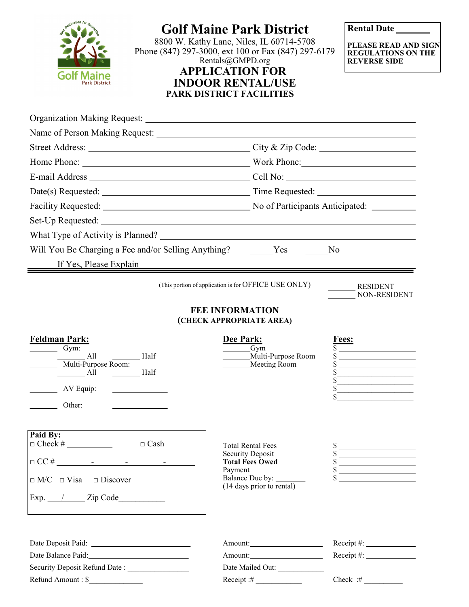

## **Golf Maine Park District**

8800 W. Kathy Lane, Niles, IL 60714-5708 Phone (847) 297-3000, ext 100 or Fax (847) 297-6179 Rentals@GMPD.org **APPLICATION FOR INDOOR RENTAL/USE PARK DISTRICT FACILITIES**

**Rental Date** 

**PLEASE READ AND SIGN REGULATIONS ON THE REVERSE SIDE**

|                                                                                                                                                                     | Home Phone: Nork Phone: Work Phone:                                                                                                                                                                                                                                                                                                                              |
|---------------------------------------------------------------------------------------------------------------------------------------------------------------------|------------------------------------------------------------------------------------------------------------------------------------------------------------------------------------------------------------------------------------------------------------------------------------------------------------------------------------------------------------------|
|                                                                                                                                                                     |                                                                                                                                                                                                                                                                                                                                                                  |
|                                                                                                                                                                     |                                                                                                                                                                                                                                                                                                                                                                  |
|                                                                                                                                                                     | Facility Requested: No of Participants Anticipated: No of Participants Anticipated:                                                                                                                                                                                                                                                                              |
|                                                                                                                                                                     |                                                                                                                                                                                                                                                                                                                                                                  |
|                                                                                                                                                                     |                                                                                                                                                                                                                                                                                                                                                                  |
| Will You Be Charging a Fee and/or Selling Anything? Yes<br>N <sub>o</sub><br>If Yes, Please Explain                                                                 |                                                                                                                                                                                                                                                                                                                                                                  |
|                                                                                                                                                                     |                                                                                                                                                                                                                                                                                                                                                                  |
| <b>Feldman Park:</b><br>$\frac{Gym}{2}$<br>All<br>Half<br>Multi-Purpose Room:<br>$H\text{alf}$<br>$\frac{1}{\sqrt{1-\frac{1}{2}}}\text{All}$<br>AV Equip:<br>Other: | Dee Park:<br><b>Fees:</b><br>Gym<br><u>and the state of the state of the state of the state of the state of the state of the state of the state of the state of the state of the state of the state of the state of the state of the state of the state of the state</u><br>Multi-Purpose Room<br>Meeting Room<br><u> The Communication of the Communication</u> |
| Paid By:<br>$\Box$ Cash<br>$\Box$ M/C $\Box$ Visa $\Box$ Discover                                                                                                   | <b>Total Rental Fees</b><br>\$<br>\$<br><b>Security Deposit</b><br>$\frac{1}{2}$<br><b>Total Fees Owed</b><br>$\frac{1}{\sqrt{5}}$<br>Payment<br>Balance Due by: ________<br>$\sim$<br>(14 days prior to rental)                                                                                                                                                 |
| Date Balance Paid:<br><u>Date Balance Paid:</u><br>Security Deposit Refund Date:                                                                                    | $Receipt \#:\_$<br>$Receipt \#:\_$<br>Date Mailed Out:                                                                                                                                                                                                                                                                                                           |

 $\text{Refund Amount}: \text{\textsterling}_{\text{f}} \text{ (i)} \quad \text{Receipt}: \text{\textsterling}_{\text{f}} \text{ (ii)} \quad \text{Check}: \text{\textsterling}_{\text{f}} \text{ (iii)}$